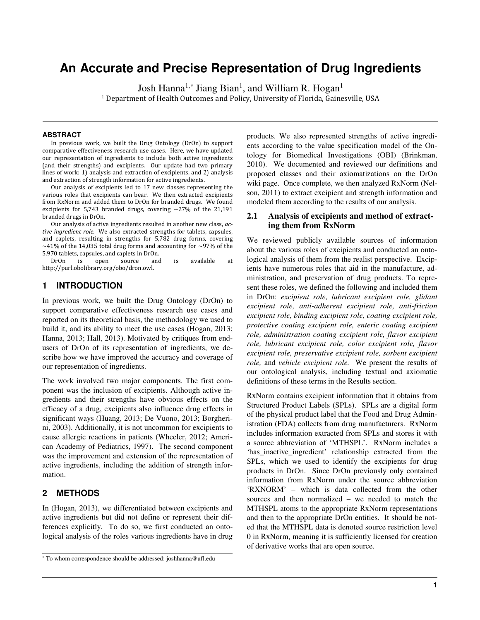# **An Accurate and Precise Representation of Drug Ingredients**

Josh Hanna<sup>1,\*</sup> Jiang Bian<sup>1</sup>, and William R. Hogan<sup>1</sup>

<sup>1</sup> Department of Health Outcomes and Policy, University of Florida, Gainesville, USA

#### **ABSTRACT**

In previous work, we built the Drug Ontology (DrOn) to support comparative effectiveness research use cases. Here, we have updated our representation of ingredients to include both active ingredients (and their strengths) and excipients. Our update had two primary lines of work: 1) analysis and extraction of excipients, and 2) analysis and extraction of strength information for active ingredients.

Our analysis of excipients led to 17 new classes representing the various roles that excipients can bear. We then extracted excipients from RxNorm and added them to DrOn for branded drugs. We found excipients for 5,743 branded drugs, covering  $\sim$ 27% of the 21,191 branded drugs in DrOn.

Our analysis of active ingredients resulted in another new class, active ingredient role. We also extracted strengths for tablets, capsules, and caplets, resulting in strengths for 5,782 drug forms, covering  $\sim$ 41% of the 14,035 total drug forms and accounting for  $\sim$ 97% of the 5,970 tablets, capsules, and caplets in DrOn.

DrOn is open source and is available at http://purl.obolibrary.org/obo/dron.owl.

#### **1 INTRODUCTION**

In previous work, we built the Drug Ontology (DrOn) to support comparative effectiveness research use cases and reported on its theoretical basis, the methodology we used to build it, and its ability to meet the use cases (Hogan, 2013; Hanna, 2013; Hall, 2013). Motivated by critiques from endusers of DrOn of its representation of ingredients, we describe how we have improved the accuracy and coverage of our representation of ingredients.

The work involved two major components. The first component was the inclusion of excipients. Although active ingredients and their strengths have obvious effects on the efficacy of a drug, excipients also influence drug effects in significant ways (Huang, 2013; De Vuono, 2013; Borgherini, 2003). Additionally, it is not uncommon for excipients to cause allergic reactions in patients (Wheeler, 2012; American Academy of Pediatrics, 1997). The second component was the improvement and extension of the representation of active ingredients, including the addition of strength information.

### **2 METHODS**

In (Hogan, 2013), we differentiated between excipients and active ingredients but did not define or represent their differences explicitly. To do so, we first conducted an ontological analysis of the roles various ingredients have in drug products. We also represented strengths of active ingredients according to the value specification model of the Ontology for Biomedical Investigations (OBI) (Brinkman, 2010). We documented and reviewed our definitions and proposed classes and their axiomatizations on the DrOn wiki page. Once complete, we then analyzed RxNorm (Nelson, 2011) to extract excipient and strength information and modeled them according to the results of our analysis.

### **2.1 Analysis of excipients and method of extracting them from RxNorm**

We reviewed publicly available sources of information about the various roles of excipients and conducted an ontological analysis of them from the realist perspective. Excipients have numerous roles that aid in the manufacture, administration, and preservation of drug products. To represent these roles, we defined the following and included them in DrOn: *excipient role, lubricant excipient role, glidant excipient role, anti-adherent excipient role, anti-friction excipient role, binding excipient role, coating excipient role, protective coating excipient role, enteric coating excipient role, administration coating excipient role, flavor excipient role, lubricant excipient role, color excipient role, flavor excipient role, preservative excipient role, sorbent excipient role,* and *vehicle excipient role.* We present the results of our ontological analysis, including textual and axiomatic definitions of these terms in the Results section.

RxNorm contains excipient information that it obtains from Structured Product Labels (SPLs). SPLs are a digital form of the physical product label that the Food and Drug Administration (FDA) collects from drug manufacturers. RxNorm includes information extracted from SPLs and stores it with a source abbreviation of 'MTHSPL'. RxNorm includes a 'has\_inactive\_ingredient' relationship extracted from the SPLs, which we used to identify the excipients for drug products in DrOn. Since DrOn previously only contained information from RxNorm under the source abbreviation 'RXNORM' – which is data collected from the other sources and then normalized – we needed to match the MTHSPL atoms to the appropriate RxNorm representations and then to the appropriate DrOn entities. It should be noted that the MTHSPL data is denoted source restriction level 0 in RxNorm, meaning it is sufficiently licensed for creation of derivative works that are open source.

<sup>\*</sup> To whom correspondence should be addressed: joshhanna@ufl.edu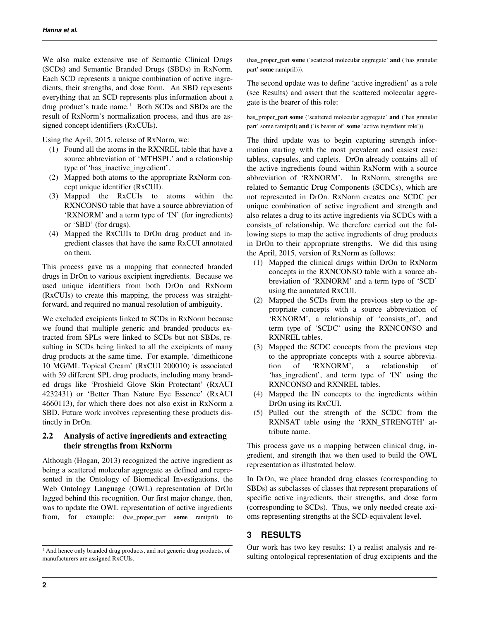We also make extensive use of Semantic Clinical Drugs (SCDs) and Semantic Branded Drugs (SBDs) in RxNorm. Each SCD represents a unique combination of active ingredients, their strengths, and dose form. An SBD represents everything that an SCD represents plus information about a drug product's trade name.<sup>1</sup> Both SCDs and SBDs are the result of RxNorm's normalization process, and thus are assigned concept identifiers (RxCUIs).

Using the April, 2015, release of RxNorm, we:

- (1) Found all the atoms in the RXNREL table that have a source abbreviation of 'MTHSPL' and a relationship type of 'has\_inactive\_ingredient'.
- (2) Mapped both atoms to the appropriate RxNorm concept unique identifier (RxCUI).
- (3) Mapped the RxCUIs to atoms within the RXNCONSO table that have a source abbreviation of 'RXNORM' and a term type of 'IN' (for ingredients) or 'SBD' (for drugs).
- (4) Mapped the RxCUIs to DrOn drug product and ingredient classes that have the same RxCUI annotated on them.

This process gave us a mapping that connected branded drugs in DrOn to various excipient ingredients. Because we used unique identifiers from both DrOn and RxNorm (RxCUIs) to create this mapping, the process was straightforward, and required no manual resolution of ambiguity.

We excluded excipients linked to SCDs in RxNorm because we found that multiple generic and branded products extracted from SPLs were linked to SCDs but not SBDs, resulting in SCDs being linked to all the excipients of many drug products at the same time. For example, 'dimethicone 10 MG/ML Topical Cream' (RxCUI 200010) is associated with 39 different SPL drug products, including many branded drugs like 'Proshield Glove Skin Protectant' (RxAUI 4232431) or 'Better Than Nature Eye Essence' (RxAUI 4660113), for which there does not also exist in RxNorm a SBD. Future work involves representing these products distinctly in DrOn.

#### **2.2 Analysis of active ingredients and extracting their strengths from RxNorm**

Although (Hogan, 2013) recognized the active ingredient as being a scattered molecular aggregate as defined and represented in the Ontology of Biomedical Investigations, the Web Ontology Language (OWL) representation of DrOn lagged behind this recognition. Our first major change, then, was to update the OWL representation of active ingredients from, for example: (has\_proper\_part **some** ramipril) to (has\_proper\_part **some** ('scattered molecular aggregate' **and** ('has granular part' **some** ramipril))).

The second update was to define 'active ingredient' as a role (see Results) and assert that the scattered molecular aggregate is the bearer of this role:

has\_proper\_part **some** ('scattered molecular aggregate' **and** ('has granular part' some ramipril) **and** ('is bearer of' **some** 'active ingredient role'))

The third update was to begin capturing strength information starting with the most prevalent and easiest case: tablets, capsules, and caplets. DrOn already contains all of the active ingredients found within RxNorm with a source abbreviation of 'RXNORM'. In RxNorm, strengths are related to Semantic Drug Components (SCDCs), which are not represented in DrOn. RxNorm creates one SCDC per unique combination of active ingredient and strength and also relates a drug to its active ingredients via SCDCs with a consists\_of relationship. We therefore carried out the following steps to map the active ingredients of drug products in DrOn to their appropriate strengths. We did this using the April, 2015, version of RxNorm as follows:

- (1) Mapped the clinical drugs within DrOn to RxNorm concepts in the RXNCONSO table with a source abbreviation of 'RXNORM' and a term type of 'SCD' using the annotated RxCUI.
- (2) Mapped the SCDs from the previous step to the appropriate concepts with a source abbreviation of 'RXNORM', a relationship of 'consists\_of', and term type of 'SCDC' using the RXNCONSO and RXNREL tables.
- (3) Mapped the SCDC concepts from the previous step to the appropriate concepts with a source abbreviation of 'RXNORM', a relationship of 'has\_ingredient', and term type of 'IN' using the RXNCONSO and RXNREL tables.
- (4) Mapped the IN concepts to the ingredients within DrOn using its RxCUI.
- (5) Pulled out the strength of the SCDC from the RXNSAT table using the 'RXN\_STRENGTH' attribute name.

This process gave us a mapping between clinical drug, ingredient, and strength that we then used to build the OWL representation as illustrated below.

In DrOn, we place branded drug classes (corresponding to SBDs) as subclasses of classes that represent preparations of specific active ingredients, their strengths, and dose form (corresponding to SCDs). Thus, we only needed create axioms representing strengths at the SCD-equivalent level.

### **3 RESULTS**

Our work has two key results: 1) a realist analysis and resulting ontological representation of drug excipients and the

<sup>&</sup>lt;sup>1</sup> And hence only branded drug products, and not generic drug products, of manufacturers are assigned RxCUIs.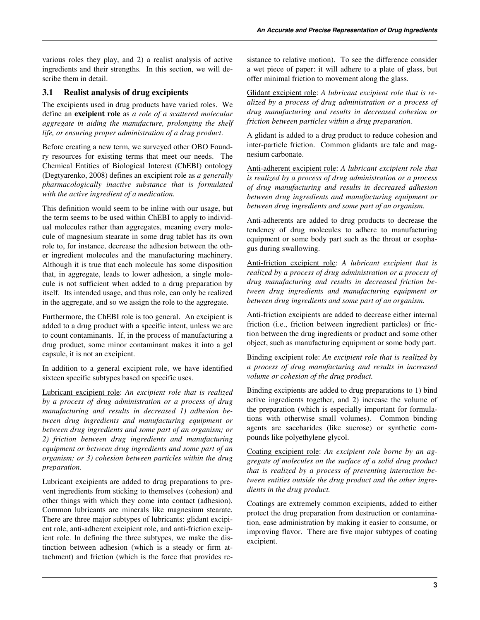various roles they play, and 2) a realist analysis of active ingredients and their strengths. In this section, we will describe them in detail.

### **3.1 Realist analysis of drug excipients**

The excipients used in drug products have varied roles. We define an **excipient role** as *a role of a scattered molecular aggregate in aiding the manufacture, prolonging the shelf life, or ensuring proper administration of a drug product*.

Before creating a new term, we surveyed other OBO Foundry resources for existing terms that meet our needs. The Chemical Entities of Biological Interest (ChEBI) ontology (Degtyarenko, 2008) defines an excipient role as *a generally pharmacologically inactive substance that is formulated with the active ingredient of a medication.*

This definition would seem to be inline with our usage, but the term seems to be used within ChEBI to apply to individual molecules rather than aggregates, meaning every molecule of magnesium stearate in some drug tablet has its own role to, for instance, decrease the adhesion between the other ingredient molecules and the manufacturing machinery. Although it is true that each molecule has some disposition that, in aggregate, leads to lower adhesion, a single molecule is not sufficient when added to a drug preparation by itself. Its intended usage, and thus role, can only be realized in the aggregate, and so we assign the role to the aggregate.

Furthermore, the ChEBI role is too general. An excipient is added to a drug product with a specific intent, unless we are to count contaminants. If, in the process of manufacturing a drug product, some minor contaminant makes it into a gel capsule, it is not an excipient.

In addition to a general excipient role, we have identified sixteen specific subtypes based on specific uses.

Lubricant excipient role: *An excipient role that is realized by a process of drug administration or a process of drug manufacturing and results in decreased 1) adhesion between drug ingredients and manufacturing equipment or between drug ingredients and some part of an organism; or 2) friction between drug ingredients and manufacturing equipment or between drug ingredients and some part of an organism; or 3) cohesion between particles within the drug preparation.* 

Lubricant excipients are added to drug preparations to prevent ingredients from sticking to themselves (cohesion) and other things with which they come into contact (adhesion). Common lubricants are minerals like magnesium stearate. There are three major subtypes of lubricants: glidant excipient role, anti-adherent excipient role, and anti-friction excipient role. In defining the three subtypes, we make the distinction between adhesion (which is a steady or firm attachment) and friction (which is the force that provides resistance to relative motion). To see the difference consider a wet piece of paper: it will adhere to a plate of glass, but offer minimal friction to movement along the glass.

Glidant excipient role: *A lubricant excipient role that is realized by a process of drug administration or a process of drug manufacturing and results in decreased cohesion or friction between particles within a drug preparation.* 

A glidant is added to a drug product to reduce cohesion and inter-particle friction. Common glidants are talc and magnesium carbonate.

Anti-adherent excipient role: *A lubricant excipient role that is realized by a process of drug administration or a process of drug manufacturing and results in decreased adhesion between drug ingredients and manufacturing equipment or between drug ingredients and some part of an organism.* 

Anti-adherents are added to drug products to decrease the tendency of drug molecules to adhere to manufacturing equipment or some body part such as the throat or esophagus during swallowing.

Anti-friction excipient role: *A lubricant excipient that is realized by a process of drug administration or a process of drug manufacturing and results in decreased friction between drug ingredients and manufacturing equipment or between drug ingredients and some part of an organism.* 

Anti-friction excipients are added to decrease either internal friction (i.e., friction between ingredient particles) or friction between the drug ingredients or product and some other object, such as manufacturing equipment or some body part.

Binding excipient role: *An excipient role that is realized by a process of drug manufacturing and results in increased volume or cohesion of the drug product.* 

Binding excipients are added to drug preparations to 1) bind active ingredients together, and 2) increase the volume of the preparation (which is especially important for formulations with otherwise small volumes). Common binding agents are saccharides (like sucrose) or synthetic compounds like polyethylene glycol.

Coating excipient role: *An excipient role borne by an aggregate of molecules on the surface of a solid drug product that is realized by a process of preventing interaction between entities outside the drug product and the other ingredients in the drug product.* 

Coatings are extremely common excipients, added to either protect the drug preparation from destruction or contamination, ease administration by making it easier to consume, or improving flavor. There are five major subtypes of coating excipient.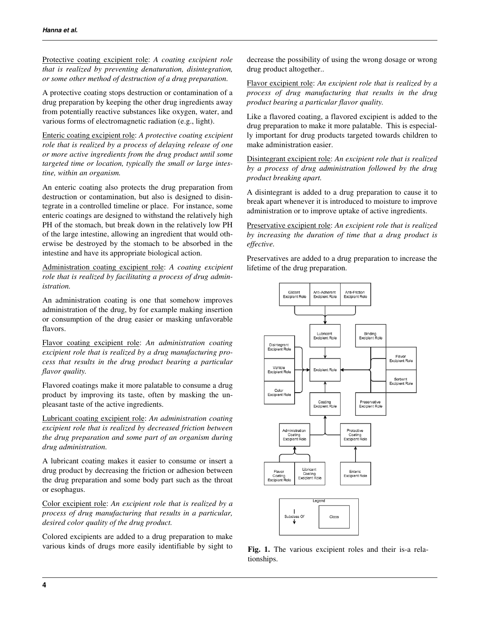Protective coating excipient role: *A coating excipient role that is realized by preventing denaturation, disintegration, or some other method of destruction of a drug preparation.* 

A protective coating stops destruction or contamination of a drug preparation by keeping the other drug ingredients away from potentially reactive substances like oxygen, water, and various forms of electromagnetic radiation (e.g., light).

Enteric coating excipient role: *A protective coating excipient role that is realized by a process of delaying release of one or more active ingredients from the drug product until some targeted time or location, typically the small or large intestine, within an organism.* 

An enteric coating also protects the drug preparation from destruction or contamination, but also is designed to disintegrate in a controlled timeline or place. For instance, some enteric coatings are designed to withstand the relatively high PH of the stomach, but break down in the relatively low PH of the large intestine, allowing an ingredient that would otherwise be destroyed by the stomach to be absorbed in the intestine and have its appropriate biological action.

Administration coating excipient role: *A coating excipient role that is realized by facilitating a process of drug administration.* 

An administration coating is one that somehow improves administration of the drug, by for example making insertion or consumption of the drug easier or masking unfavorable flavors.

Flavor coating excipient role: *An administration coating excipient role that is realized by a drug manufacturing process that results in the drug product bearing a particular flavor quality.*

Flavored coatings make it more palatable to consume a drug product by improving its taste, often by masking the unpleasant taste of the active ingredients.

Lubricant coating excipient role: *An administration coating excipient role that is realized by decreased friction between the drug preparation and some part of an organism during drug administration.* 

A lubricant coating makes it easier to consume or insert a drug product by decreasing the friction or adhesion between the drug preparation and some body part such as the throat or esophagus.

Color excipient role: *An excipient role that is realized by a process of drug manufacturing that results in a particular, desired color quality of the drug product.* 

Colored excipients are added to a drug preparation to make various kinds of drugs more easily identifiable by sight to decrease the possibility of using the wrong dosage or wrong drug product altogether..

Flavor excipient role: *An excipient role that is realized by a process of drug manufacturing that results in the drug product bearing a particular flavor quality.* 

Like a flavored coating, a flavored excipient is added to the drug preparation to make it more palatable. This is especially important for drug products targeted towards children to make administration easier.

Disintegrant excipient role: *An excipient role that is realized by a process of drug administration followed by the drug product breaking apart.* 

A disintegrant is added to a drug preparation to cause it to break apart whenever it is introduced to moisture to improve administration or to improve uptake of active ingredients.

Preservative excipient role: *An excipient role that is realized by increasing the duration of time that a drug product is effective.* 

Preservatives are added to a drug preparation to increase the lifetime of the drug preparation.



**Fig. 1.** The various excipient roles and their is-a relationships.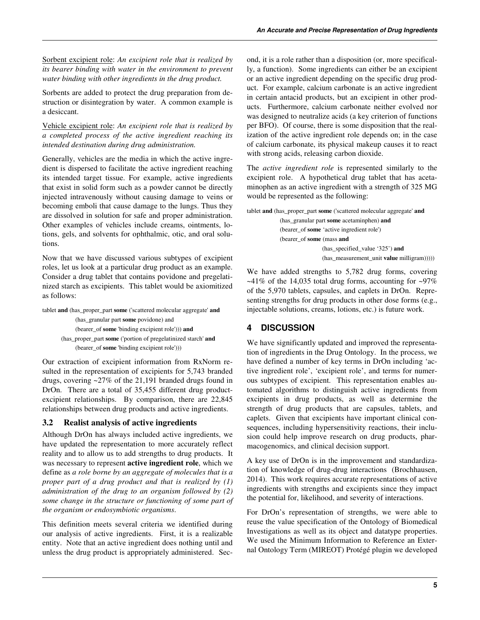Sorbent excipient role: *An excipient role that is realized by its bearer binding with water in the environment to prevent water binding with other ingredients in the drug product.* 

Sorbents are added to protect the drug preparation from destruction or disintegration by water. A common example is a desiccant.

Vehicle excipient role: *An excipient role that is realized by a completed process of the active ingredient reaching its intended destination during drug administration.* 

Generally, vehicles are the media in which the active ingredient is dispersed to facilitate the active ingredient reaching its intended target tissue. For example, active ingredients that exist in solid form such as a powder cannot be directly injected intravenously without causing damage to veins or becoming emboli that cause damage to the lungs. Thus they are dissolved in solution for safe and proper administration. Other examples of vehicles include creams, ointments, lotions, gels, and solvents for ophthalmic, otic, and oral solutions.

Now that we have discussed various subtypes of excipient roles, let us look at a particular drug product as an example. Consider a drug tablet that contains povidone and pregelatinized starch as excipients. This tablet would be axiomitized as follows:

tablet **and** (has\_proper\_part **some** ('scattered molecular aggregate' **and** (has\_granular part **some** povidone) and (bearer\_of **some** 'binding excipient role'))) **and** (has\_proper\_part **some** ('portion of pregelatinized starch' **and** (bearer\_of **some** 'binding excipient role')))

Our extraction of excipient information from RxNorm resulted in the representation of excipients for 5,743 branded drugs, covering ~27% of the 21,191 branded drugs found in DrOn. There are a total of 35,455 different drug productexcipient relationships. By comparison, there are 22,845 relationships between drug products and active ingredients.

### **3.2 Realist analysis of active ingredients**

Although DrOn has always included active ingredients, we have updated the representation to more accurately reflect reality and to allow us to add strengths to drug products. It was necessary to represent **active ingredient role**, which we define as *a role borne by an aggregate of molecules that is a proper part of a drug product and that is realized by (1) administration of the drug to an organism followed by (2) some change in the structure or functioning of some part of the organism or endosymbiotic organisms*.

This definition meets several criteria we identified during our analysis of active ingredients. First, it is a realizable entity. Note that an active ingredient does nothing until and unless the drug product is appropriately administered. Second, it is a role rather than a disposition (or, more specifically, a function). Some ingredients can either be an excipient or an active ingredient depending on the specific drug product. For example, calcium carbonate is an active ingredient in certain antacid products, but an excipient in other products. Furthermore, calcium carbonate neither evolved nor was designed to neutralize acids (a key criterion of functions per BFO). Of course, there is some disposition that the realization of the active ingredient role depends on; in the case of calcium carbonate, its physical makeup causes it to react with strong acids, releasing carbon dioxide.

The *active ingredient role* is represented similarly to the excipient role. A hypothetical drug tablet that has acetaminophen as an active ingredient with a strength of 325 MG would be represented as the following:

tablet **and** (has\_proper\_part **some** ('scattered molecular aggregate' **and** (has\_granular part **some** acetaminphen) **and** (bearer\_of **some** 'active ingredient role') (bearer\_of **some** (mass **and** (has\_specified\_value '325') **and** (has\_measurement\_unit **value** milligram)))))

We have added strengths to 5,782 drug forms, covering  $\sim$ 41% of the 14,035 total drug forms, accounting for  $\sim$ 97% of the 5,970 tablets, capsules, and caplets in DrOn. Representing strengths for drug products in other dose forms (e.g., injectable solutions, creams, lotions, etc.) is future work.

## **4 DISCUSSION**

We have significantly updated and improved the representation of ingredients in the Drug Ontology. In the process, we have defined a number of key terms in DrOn including 'active ingredient role', 'excipient role', and terms for numerous subtypes of excipient. This representation enables automated algorithms to distinguish active ingredients from excipients in drug products, as well as determine the strength of drug products that are capsules, tablets, and caplets. Given that excipients have important clinical consequences, including hypersensitivity reactions, their inclusion could help improve research on drug products, pharmacogenomics, and clinical decision support.

A key use of DrOn is in the improvement and standardization of knowledge of drug-drug interactions (Brochhausen, 2014). This work requires accurate representations of active ingredients with strengths and excipients since they impact the potential for, likelihood, and severity of interactions.

For DrOn's representation of strengths, we were able to reuse the value specification of the Ontology of Biomedical Investigations as well as its object and datatype properties. We used the Minimum Information to Reference an External Ontology Term (MIREOT) Protégé plugin we developed